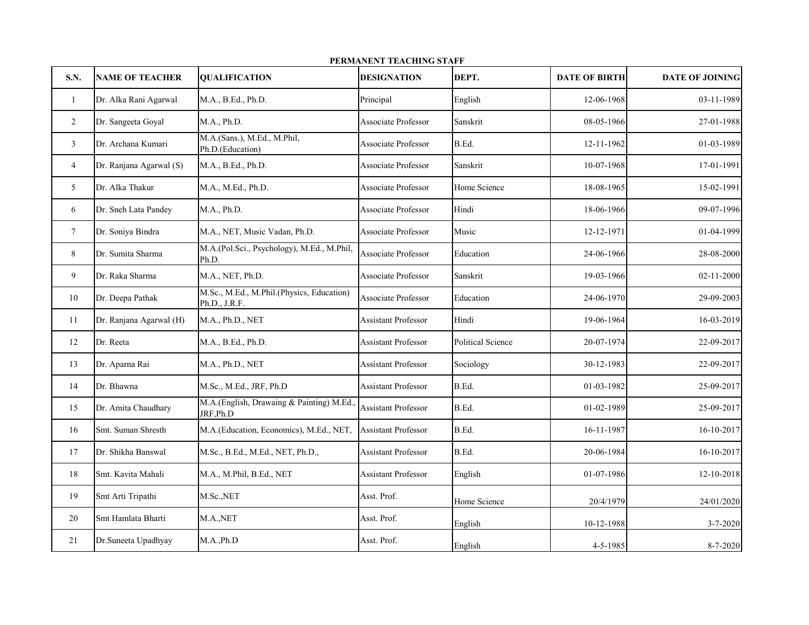| PERMANENT TEACHING STAFF |                         |                                                            |                            |                          |                      |                  |
|--------------------------|-------------------------|------------------------------------------------------------|----------------------------|--------------------------|----------------------|------------------|
| S.N.                     | <b>NAME OF TEACHER</b>  | <b>QUALIFICATION</b>                                       | <b>DESIGNATION</b>         | DEPT.                    | <b>DATE OF BIRTH</b> | DATE OF JOINING  |
| $\mathbf{1}$             | Dr. Alka Rani Agarwal   | M.A., B.Ed., Ph.D.                                         | Principal                  | English                  | 12-06-1968           | 03-11-1989       |
| $\overline{c}$           | Dr. Sangeeta Goyal      | M.A., Ph.D.                                                | Associate Professor        | Sanskrit                 | 08-05-1966           | 27-01-1988       |
| $\mathfrak{Z}$           | Dr. Archana Kumari      | M.A.(Sans.), M.Ed., M.Phil,<br>Ph.D.(Education)            | <b>Associate Professor</b> | B.Ed.                    | 12-11-1962           | 01-03-1989       |
| $\overline{4}$           | Dr. Ranjana Agarwal (S) | M.A., B.Ed., Ph.D.                                         | Associate Professor        | Sanskrit                 | 10-07-1968           | 17-01-1991       |
| 5                        | Dr. Alka Thakur         | M.A., M.Ed., Ph.D.                                         | <b>Associate Professor</b> | Home Science             | 18-08-1965           | 15-02-1991       |
| 6                        | Dr. Sneh Lata Pandey    | M.A., Ph.D.                                                | Associate Professor        | Hindi                    | 18-06-1966           | 09-07-1996       |
| $7\phantom{.}$           | Dr. Soniya Bindra       | M.A., NET, Music Vadan, Ph.D.                              | <b>Associate Professor</b> | Music                    | 12-12-1971           | 01-04-1999       |
| $8\,$                    | Dr. Sumita Sharma       | M.A.(Pol.Sci., Psychology), M.Ed., M.Phil,<br>Ph.D.        | <b>Associate Professor</b> | Education                | 24-06-1966           | 28-08-2000       |
| 9                        | Dr. Raka Sharma         | M.A., NET, Ph.D.                                           | <b>Associate Professor</b> | Sanskrit                 | 19-03-1966           | $02 - 11 - 2000$ |
| 10                       | Dr. Deepa Pathak        | M.Sc., M.Ed., M.Phil.(Physics, Education)<br>Ph.D., J.R.F. | <b>Associate Professor</b> | Education                | 24-06-1970           | 29-09-2003       |
| 11                       | Dr. Ranjana Agarwal (H) | M.A., Ph.D., NET                                           | Assistant Professor        | Hindi                    | 19-06-1964           | 16-03-2019       |
| 12                       | Dr. Reeta               | M.A., B.Ed., Ph.D.                                         | <b>Assistant Professor</b> | <b>Political Science</b> | 20-07-1974           | 22-09-2017       |
| 13                       | Dr. Aparna Rai          | M.A., Ph.D., NET                                           | <b>Assistant Professor</b> | Sociology                | 30-12-1983           | 22-09-2017       |
| 14                       | Dr. Bhawna              | M.Sc., M.Ed., JRF, Ph.D                                    | <b>Assistant Professor</b> | B.Ed.                    | 01-03-1982           | 25-09-2017       |
| 15                       | Dr. Amita Chaudhary     | M.A.(English, Drawaing & Painting) M.Ed.,<br>JRF, Ph.D     | <b>Assistant Professor</b> | B.Ed.                    | 01-02-1989           | 25-09-2017       |
| 16                       | Smt. Suman Shresth      | M.A.(Education, Economics), M.Ed., NET,                    | <b>Assistant Professor</b> | B.Ed.                    | 16-11-1987           | 16-10-2017       |
| 17                       | Dr. Shikha Banswal      | M.Sc., B.Ed., M.Ed., NET, Ph.D.,                           | <b>Assistant Professor</b> | B.Ed.                    | 20-06-1984           | 16-10-2017       |
| 18                       | Smt. Kavita Mahali      | M.A., M.Phil, B.Ed., NET                                   | <b>Assistant Professor</b> | English                  | 01-07-1986           | 12-10-2018       |
| 19                       | Smt Arti Tripathi       | M.Sc.,NET                                                  | Asst. Prof.                | Home Science             | 20/4/1979            | 24/01/2020       |
| 20                       | Smt Hamlata Bharti      | M.A., NET                                                  | Asst. Prof.                | English                  | 10-12-1988           | 3-7-2020         |
| 21                       | Dr.Suneeta Upadhyay     | M.A.,Ph.D                                                  | Asst. Prof.                | English                  | 4-5-1985             | 8-7-2020         |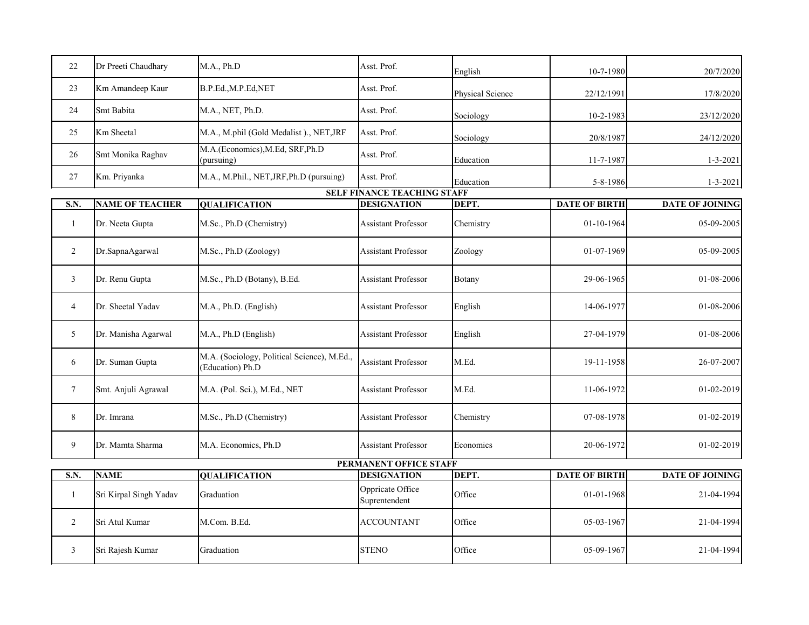| 22             | Dr Preeti Chaudhary    | M.A., Ph.D                                                      | Asst. Prof.                        | English          | 10-7-1980            | 20/7/2020       |
|----------------|------------------------|-----------------------------------------------------------------|------------------------------------|------------------|----------------------|-----------------|
| 23             | Km Amandeep Kaur       | B.P.Ed., M.P.Ed, NET                                            | Asst. Prof.                        | Physical Science | 22/12/1991           | 17/8/2020       |
| 24             | Smt Babita             | M.A., NET, Ph.D.                                                | Asst. Prof.                        | Sociology        | 10-2-1983            | 23/12/2020      |
| 25             | Km Sheetal             | M.A., M.phil (Gold Medalist)., NET, JRF                         | Asst. Prof.                        | Sociology        | 20/8/1987            | 24/12/2020      |
| 26             | Smt Monika Raghav      | M.A.(Economics), M.Ed, SRF, Ph.D<br>(pursuing)                  | Asst. Prof.                        | Education        | 11-7-1987            | $1 - 3 - 2021$  |
| 27             | Km. Priyanka           | M.A., M.Phil., NET, JRF, Ph.D (pursuing)                        | Asst. Prof.                        | Education        | 5-8-1986             | $1 - 3 - 2021$  |
|                |                        |                                                                 | <b>SELF FINANCE TEACHING STAFF</b> |                  |                      |                 |
| S.N.           | <b>NAME OF TEACHER</b> | <b>QUALIFICATION</b>                                            | <b>DESIGNATION</b>                 | DEPT.            | <b>DATE OF BIRTH</b> | DATE OF JOINING |
| 1              | Dr. Neeta Gupta        | M.Sc., Ph.D (Chemistry)                                         | <b>Assistant Professor</b>         | Chemistry        | 01-10-1964           | 05-09-2005      |
| $\overline{c}$ | Dr.SapnaAgarwal        | M.Sc., Ph.D (Zoology)                                           | <b>Assistant Professor</b>         | Zoology          | 01-07-1969           | 05-09-2005      |
| 3              | Dr. Renu Gupta         | M.Sc., Ph.D (Botany), B.Ed.                                     | <b>Assistant Professor</b>         | Botany           | 29-06-1965           | 01-08-2006      |
| $\overline{4}$ | Dr. Sheetal Yadav      | M.A., Ph.D. (English)                                           | <b>Assistant Professor</b>         | English          | 14-06-1977           | 01-08-2006      |
| 5              | Dr. Manisha Agarwal    | M.A., Ph.D (English)                                            | <b>Assistant Professor</b>         | English          | 27-04-1979           | 01-08-2006      |
| 6              | Dr. Suman Gupta        | M.A. (Sociology, Political Science), M.Ed.,<br>(Education) Ph.D | <b>Assistant Professor</b>         | M.Ed.            | 19-11-1958           | 26-07-2007      |
| 7              | Smt. Anjuli Agrawal    | M.A. (Pol. Sci.), M.Ed., NET                                    | <b>Assistant Professor</b>         | M.Ed.            | 11-06-1972           | 01-02-2019      |
| 8              | Dr. Imrana             | M.Sc., Ph.D (Chemistry)                                         | <b>Assistant Professor</b>         | Chemistry        | 07-08-1978           | 01-02-2019      |
| 9              | Dr. Mamta Sharma       | M.A. Economics, Ph.D                                            | <b>Assistant Professor</b>         | Economics        | 20-06-1972           | 01-02-2019      |
|                |                        |                                                                 | <b>PERMANENT OFFICE STAFF</b>      |                  |                      |                 |
| S.N.           | <b>NAME</b>            | <b>QUALIFICATION</b>                                            | <b>DESIGNATION</b>                 | DEPT.            | <b>DATE OF BIRTH</b> | DATE OF JOINING |
|                |                        |                                                                 |                                    |                  |                      |                 |
| 1              | Sri Kirpal Singh Yadav | Graduation                                                      | Oppricate Office<br>Suprentendent  | Office           | 01-01-1968           | 21-04-1994      |
| $\overline{2}$ | Sri Atul Kumar         | M.Com. B.Ed.                                                    | <b>ACCOUNTANT</b>                  | Office           | 05-03-1967           | 21-04-1994      |
| $\mathfrak{Z}$ | Sri Rajesh Kumar       | Graduation                                                      | <b>STENO</b>                       | Office           | 05-09-1967           | 21-04-1994      |